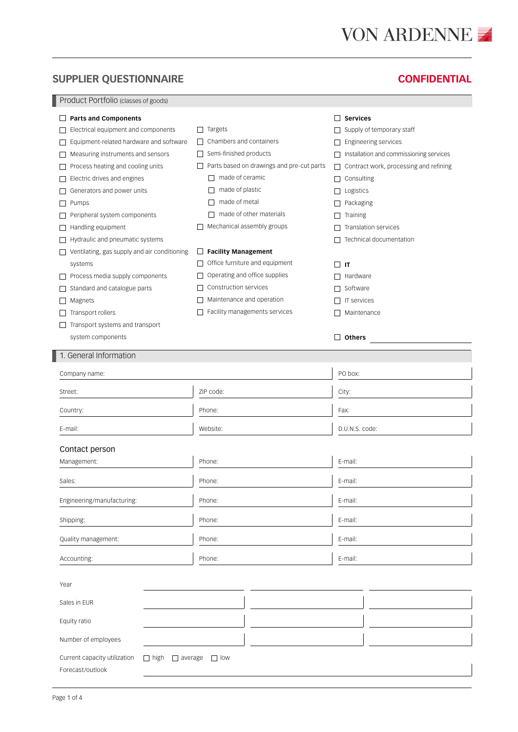# **VON ARDENNE**

## **SUPPLIER QUESTIONNAIRE CONFIDENTIAL**

Product Portfolio (classes of goods)

| <b>Parts and Components</b>                                                       |                                                     | <b>Services</b><br>$\perp$                              |
|-----------------------------------------------------------------------------------|-----------------------------------------------------|---------------------------------------------------------|
| Electrical equipment and components                                               | Targets<br>$\Box$                                   | Supply of temporary staff                               |
| Equipment-related hardware and software                                           | Chambers and containers<br>$\perp$                  | Engineering services<br>$\perp$                         |
| Measuring instruments and sensors                                                 | Semi-finished products<br>$\Box$                    | Installation and commissioning services<br>$\mathsf{L}$ |
| Process heating and cooling units                                                 | Parts based on drawings and pre-cut parts<br>$\Box$ | Contract work, processing and refining<br>ш             |
| Electric drives and engines                                                       | made of ceramic<br>$\perp$                          | Consulting<br>П                                         |
| Generators and power units                                                        | made of plastic                                     | Logistics<br>$\perp$                                    |
| Pumps                                                                             | made of metal                                       | Packaging<br>$\perp$                                    |
| Peripheral system components                                                      | made of other materials<br>$\mathsf{L}$             | Training<br>$\perp$                                     |
| Handling equipment                                                                | Mechanical assembly groups                          | Translation services<br>$\mathbf{L}$                    |
| Hydraulic and pneumatic systems                                                   |                                                     | Technical documentation<br>П                            |
| Ventilating, gas supply and air conditioning                                      | <b>Facility Management</b><br>$\Box$                |                                                         |
| systems                                                                           | Office furniture and equipment<br>$\Box$            | $\Box$<br>IT                                            |
| Process media supply components                                                   | Operating and office supplies                       | $\Box$ Hardware                                         |
| Standard and catalogue parts                                                      | Construction services                               | $\Box$ Software                                         |
| Magnets                                                                           | Maintenance and operation                           | <b>IT services</b><br>$\perp$                           |
| Transport rollers                                                                 | Facility managements services<br>$\mathbf{I}$       | Maintenance<br>П                                        |
| Transport systems and transport                                                   |                                                     |                                                         |
| system components                                                                 |                                                     | $\perp$<br><b>Others</b>                                |
| General Information                                                               |                                                     |                                                         |
|                                                                                   |                                                     |                                                         |
| Company name:                                                                     |                                                     | PO box:                                                 |
| Street:                                                                           | ZIP code:                                           | City:                                                   |
| Country:                                                                          | Phone:                                              | Fax:                                                    |
| E-mail:                                                                           | Website:                                            | D.U.N.S. code:                                          |
| Contact person                                                                    |                                                     |                                                         |
|                                                                                   | Phone:                                              | E-mail:                                                 |
| Management:                                                                       |                                                     |                                                         |
| Sales:                                                                            | Phone:                                              | E-mail:                                                 |
| Engineering/manufacturing:                                                        | Phone:                                              | E-mail:                                                 |
| Shipping:                                                                         | Phone:                                              | E-mail:                                                 |
| Quality management:                                                               | Phone:                                              | E-mail:                                                 |
| Accounting:                                                                       | Phone:                                              | E-mail:                                                 |
|                                                                                   |                                                     |                                                         |
| Year                                                                              |                                                     |                                                         |
| Sales in EUR                                                                      |                                                     |                                                         |
| Equity ratio                                                                      |                                                     |                                                         |
| Number of employees                                                               |                                                     |                                                         |
| Current capacity utilization<br>$\Box$ high<br>$\Box$ average<br>Forecast/outlook | $\Box$ low                                          |                                                         |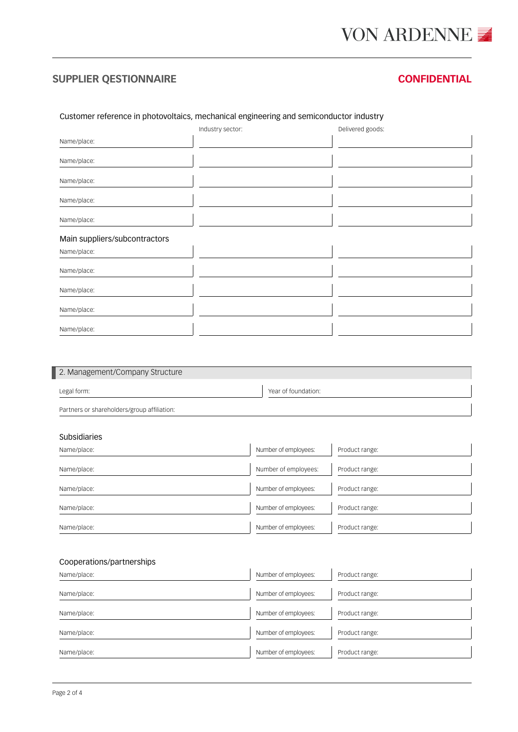## **SUPPLIER QESTIONNAIRE CONFIDENTIAL**

### Customer reference in photovoltaics, mechanical engineering and semiconductor industry

|                               | Industry sector: | Delivered goods: |
|-------------------------------|------------------|------------------|
| Name/place:                   |                  |                  |
| Name/place:                   |                  |                  |
| Name/place:                   |                  |                  |
| Name/place:                   |                  |                  |
| Name/place:                   |                  |                  |
| Main suppliers/subcontractors |                  |                  |
| Name/place:                   |                  |                  |
| Name/place:                   |                  |                  |
| Name/place:                   |                  |                  |
| Name/place:                   |                  |                  |
| Name/place:                   |                  |                  |

| 2. Management/Company Structure             |                      |                |
|---------------------------------------------|----------------------|----------------|
| Legal form:                                 | Year of foundation:  |                |
| Partners or shareholders/group affiliation: |                      |                |
|                                             |                      |                |
| <b>Subsidiaries</b>                         |                      |                |
| Name/place:                                 | Number of employees: | Product range: |
| Name/place:                                 | Number of employees: | Product range: |
| Name/place:                                 | Number of employees: | Product range: |
| Name/place:                                 | Number of employees: | Product range: |
| Name/place:                                 | Number of employees: | Product range: |
|                                             |                      |                |
| Cooperations/partnerships                   |                      |                |
| Name/place:                                 | Number of employees: | Product range: |
| Name/place:                                 | Number of employees: | Product range: |
| Name/place:                                 | Number of employees: | Product range: |
| Name/place:                                 | Number of employees: | Product range: |

Name/place: Name/place: Number of employees: Product range: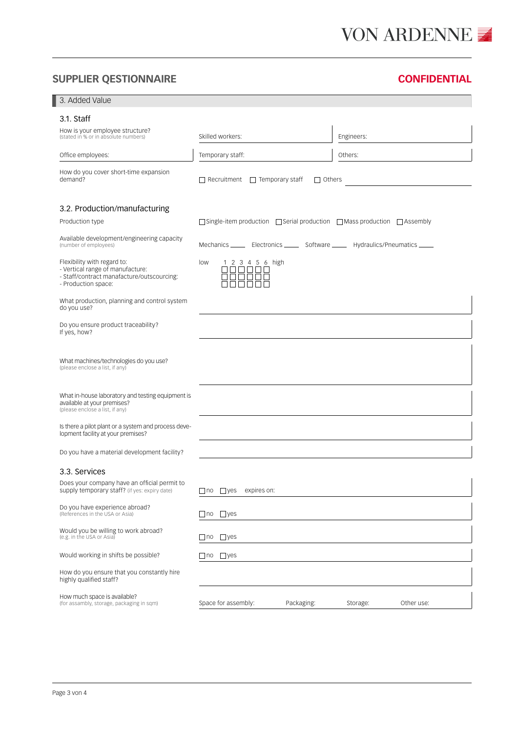# VON ARDENNE ■

## **SUPPLIER QESTIONNAIRE CONFIDENTIAL**

| 3. Added Value                                                                                                                       |                                                                                               |                        |
|--------------------------------------------------------------------------------------------------------------------------------------|-----------------------------------------------------------------------------------------------|------------------------|
| 3.1. Staff                                                                                                                           |                                                                                               |                        |
| How is your employee structure?<br>(stated in % or in absolute numbers)                                                              | Skilled workers:                                                                              | Engineers:             |
| Office employees:                                                                                                                    | Temporary staff:                                                                              | Others:                |
| How do you cover short-time expansion<br>demand?                                                                                     | $\Box$ Recruitment $\Box$ Temporary staff<br>$\Box$ Others                                    |                        |
| 3.2. Production/manufacturing                                                                                                        |                                                                                               |                        |
| Production type                                                                                                                      | $\Box$ Single-item production $\Box$ Serial production $\Box$ Mass production $\Box$ Assembly |                        |
| Available development/engineering capacity<br>(number of employees)                                                                  | Mechanics _______ Electronics _______ Software ______ Hydraulics/Pneumatics _____             |                        |
| Flexibility with regard to:<br>- Vertical range of manufacture:<br>- Staff/contract manafacture/outscourcing:<br>- Production space: | low<br>1 2 3 4 5 6 high<br>ПП<br>$\Box$                                                       |                        |
| What production, planning and control system<br>do you use?                                                                          |                                                                                               |                        |
| Do you ensure product traceability?<br>If yes, how?                                                                                  |                                                                                               |                        |
| What machines/technologies do you use?<br>(please enclose a list, if any)                                                            |                                                                                               |                        |
| What in-house laboratory and testing equipment is<br>available at your premises?<br>(please enclose a list, if any)                  |                                                                                               |                        |
| Is there a pilot plant or a system and process deve-<br>lopment facility at your premises?                                           |                                                                                               |                        |
| Do you have a material development facility?                                                                                         |                                                                                               |                        |
| 3.3. Services                                                                                                                        |                                                                                               |                        |
| Does your company have an official permit to<br>supply temporary staff? (if yes: expiry date)                                        | $\Box$ yes<br>expires on:<br>$\Box$ no                                                        |                        |
| Do you have experience abroad?<br>(References in the USA or Asia)                                                                    | $\Box$ no $\Box$ yes                                                                          |                        |
| Would you be willing to work abroad?<br>(e.g. in the USA or Asia)                                                                    | $\Box$ yes<br>  no                                                                            |                        |
| Would working in shifts be possible?                                                                                                 | $\Box$ no $\Box$ yes                                                                          |                        |
| How do you ensure that you constantly hire<br>highly qualified staff?                                                                |                                                                                               |                        |
| How much space is available?<br>(for assambly, storage, packaging in sqm)                                                            | Space for assembly:<br>Packaging:                                                             | Storage:<br>Other use: |